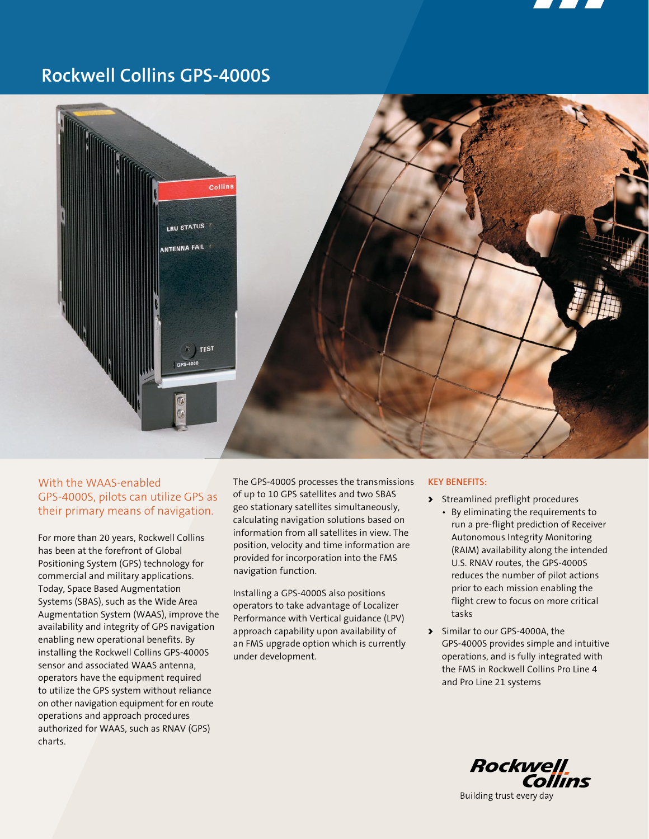

# **Rockwell Collins GPS-4000S**



## With the WAAS-enabled GPS-4000S, pilots can utilize GPS as their primary means of navigation.

For more than 20 years, Rockwell Collins has been at the forefront of Global Positioning System (GPS) technology for commercial and military applications. Today, Space Based Augmentation Systems (SBAS), such as the Wide Area Augmentation System (WAAS), improve the availability and integrity of GPS navigation enabling new operational benefits. By installing the Rockwell Collins GPS-4000S sensor and associated WAAS antenna, operators have the equipment required to utilize the GPS system without reliance on other navigation equipment for en route operations and approach procedures authorized for WAAS, such as RNAV (GPS) charts.

The GPS-4000S processes the transmissions of up to 10 GPS satellites and two SBAS geo stationary satellites simultaneously, calculating navigation solutions based on information from all satellites in view. The position, velocity and time information are provided for incorporation into the FMS navigation function.

Installing a GPS-4000S also positions operators to take advantage of Localizer Performance with Vertical guidance (LPV) approach capability upon availability of an FMS upgrade option which is currently under development.

## **Key Benefits:**

- > Streamlined preflight procedures
	- By eliminating the requirements to run a pre-flight prediction of Receiver Autonomous Integrity Monitoring (RAIM) availability along the intended U.S. RNAV routes, the GPS-4000S reduces the number of pilot actions prior to each mission enabling the flight crew to focus on more critical tasks
- > Similar to our GPS-4000A, the GPS-4000S provides simple and intuitive operations, and is fully integrated with the FMS in Rockwell Collins Pro Line 4 and Pro Line 21 systems